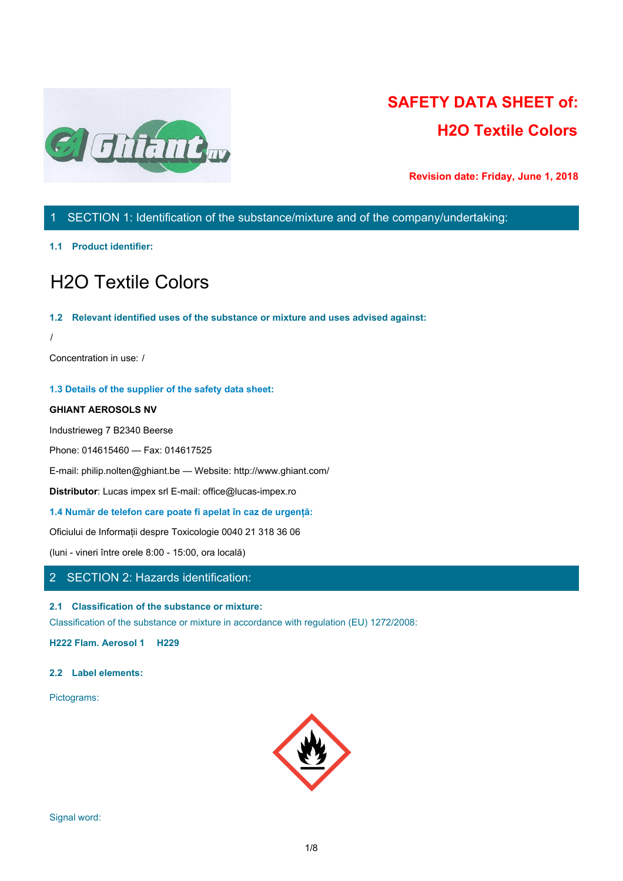

**1.1 Identificarea produsului:**

# H2O Textile Colors

#### **1.2 Utilizări relevante ale substanței sau amescetului și utilizări recomandate:** /

Concentra ie n folosire: /

#### **1.3 Detalii ale producătorului fișei de siguranță:**

#### **GHIANT AEROSOLS NV**

Industrieweg 7 B2340 Beerse

Phone: 014615460 — Fax: 014617525

E-mail: philip.nolten@ghiant.be — Website: http://www.ghiant.com/

**Distributor**: Lucas impex srl E-mail: office@lucas-impex.ro

**1.4 Număr de telefon care poate fi apelat în caz de urgență:**

Oficiului de Informații despre Toxicologie 0040 21 318 36 06

(luni - vineri între orele 8:00 - 15:00, ora locală)

## 2 SE | NEA 2: Identificarea pericolelor:

#### **2.1 Clasificarea substanței sau amestecului:**

Clasificarea substanței sau amestecului în acord cu reglementările (EU) 1272/2008:

**H222 Aerosol inflamabil 1 H229 H315 Iritant piele 2 H336 STOT SE 3 H411 Cronic acvatic 2**

#### **2.2 Elemente etichetare:**

Pictograme:

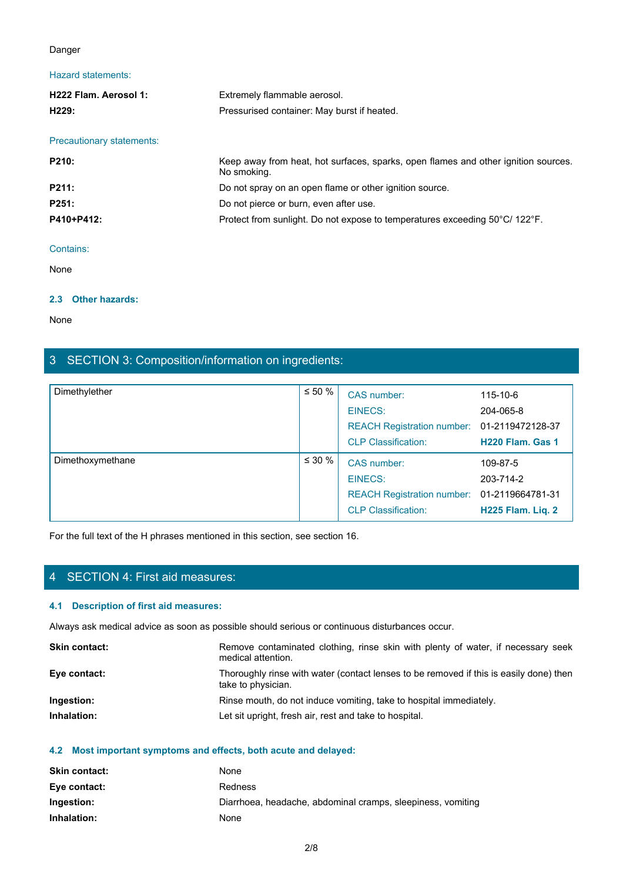#### Pericol

## Fraze pericol:

| Pericol                                                 |                                                                                                                            |          |                                                     |                               |
|---------------------------------------------------------|----------------------------------------------------------------------------------------------------------------------------|----------|-----------------------------------------------------|-------------------------------|
| Fraze pericol:                                          |                                                                                                                            |          |                                                     |                               |
| <b>H222 Aerosol inflamabil</b><br>1: H229:              | Aerosol extrem de inflamabil.<br>Tub sub presiune: Poate exploda dacă este încălzit.                                       |          |                                                     |                               |
| Fraze de precauție:                                     |                                                                                                                            |          |                                                     |                               |
| P210:                                                   | Păstrează departe de căldură, suprafețe fierbinți, scântei și flacărră deschisă și alte<br>surse de aprinde. Nu se fumează |          |                                                     |                               |
| P211:                                                   | Nu se pulverizeaza in directia unei flacari deschise sau alte surse de foc.                                                |          |                                                     |                               |
| P251:                                                   | Nu găuri sau arde, chiar și după utilizare.Do not pierce or burn, even after use.                                          |          |                                                     |                               |
| P410+P412:                                              | Protect from sunlight. Do not expose to temperatures exceeding 50°C/ 122°F.                                                |          |                                                     |                               |
| Contine:                                                |                                                                                                                            |          |                                                     |                               |
| Nu există                                               |                                                                                                                            |          |                                                     |                               |
| 2.3 Alte pericole:                                      |                                                                                                                            |          |                                                     |                               |
| Nu există                                               |                                                                                                                            |          |                                                     |                               |
| SECTION 3: Composition/information on ingredients:<br>3 |                                                                                                                            |          |                                                     |                               |
| Dimethylether                                           |                                                                                                                            | $≤ 50 %$ |                                                     |                               |
|                                                         |                                                                                                                            |          | CAS number:                                         | 115-10-6                      |
|                                                         |                                                                                                                            |          | <b>EINECS:</b><br><b>REACH Registration number:</b> | 204-065-8<br>01-2119472128-37 |
|                                                         |                                                                                                                            |          | <b>CLP Classification:</b>                          | H220 Flam. Gas 1              |
| $D$ in a different condition of $\alpha$                |                                                                                                                            | 2000     |                                                     |                               |

#### Conține:

### **2.3 Alte pericole:**

## Nu există

| P210:                                                                     | Păstrează departe de căldură, suprafețe fierbinți, scântei și flacărră deschisă și alte<br>surse de aprinde. Nu se fumează |                                                                                   |                                                                                        |                   |  |
|---------------------------------------------------------------------------|----------------------------------------------------------------------------------------------------------------------------|-----------------------------------------------------------------------------------|----------------------------------------------------------------------------------------|-------------------|--|
| P211:                                                                     |                                                                                                                            |                                                                                   | Nu se pulverizeaza in directia unei flacari deschise sau alte surse de foc.            |                   |  |
| P251:                                                                     |                                                                                                                            | Nu găuri sau arde, chiar și după utilizare.Do not pierce or burn, even after use. |                                                                                        |                   |  |
| P410+P412:                                                                |                                                                                                                            | Protect from sunlight. Do not expose to temperatures exceeding 50°C/ 122°F.       |                                                                                        |                   |  |
|                                                                           |                                                                                                                            |                                                                                   |                                                                                        |                   |  |
| Conține:                                                                  |                                                                                                                            |                                                                                   |                                                                                        |                   |  |
| Nu există                                                                 |                                                                                                                            |                                                                                   |                                                                                        |                   |  |
| 2.3 Alte pericole:                                                        |                                                                                                                            |                                                                                   |                                                                                        |                   |  |
| Nu există                                                                 |                                                                                                                            |                                                                                   |                                                                                        |                   |  |
|                                                                           | 3 SECTION 3: Composition/information on ingredients:                                                                       |                                                                                   |                                                                                        |                   |  |
|                                                                           |                                                                                                                            |                                                                                   |                                                                                        |                   |  |
| Dimethylether                                                             | $\leq 50$ %                                                                                                                |                                                                                   | CAS number:                                                                            | 115-10-6          |  |
|                                                                           |                                                                                                                            |                                                                                   | <b>EINECS:</b>                                                                         | 204-065-8         |  |
|                                                                           |                                                                                                                            |                                                                                   | <b>REACH Registration number:</b>                                                      | 01-2119472128-37  |  |
|                                                                           |                                                                                                                            |                                                                                   | <b>CLP Classification:</b>                                                             | H220 Flam. Gas 1  |  |
| Dimethoxymethane                                                          | $\leq 30$ %                                                                                                                |                                                                                   | CAS number:                                                                            | 109-87-5          |  |
|                                                                           |                                                                                                                            |                                                                                   | <b>EINECS:</b>                                                                         | 203-714-2         |  |
|                                                                           |                                                                                                                            |                                                                                   | <b>REACH Registration number:</b>                                                      | 01-2119664781-31  |  |
|                                                                           |                                                                                                                            |                                                                                   | <b>CLP Classification:</b>                                                             | H225 Flam. Liq. 2 |  |
|                                                                           | For the full text of the H phrases mentioned in this section, see section 16.                                              |                                                                                   |                                                                                        |                   |  |
|                                                                           |                                                                                                                            |                                                                                   |                                                                                        |                   |  |
|                                                                           |                                                                                                                            |                                                                                   |                                                                                        |                   |  |
| 4 SECTION 4: First aid measures:                                          |                                                                                                                            |                                                                                   |                                                                                        |                   |  |
| 4.1 Description of first aid measures:                                    |                                                                                                                            |                                                                                   |                                                                                        |                   |  |
|                                                                           | Always ask medical advice as soon as possible should serious or continuous disturbances occur.                             |                                                                                   |                                                                                        |                   |  |
| Skin contact:                                                             | Remove contaminated clothing, rinse skin with plenty of water, if necessary seek<br>medical attention.                     |                                                                                   |                                                                                        |                   |  |
| Eye contact:                                                              | take to physician.                                                                                                         |                                                                                   | Thoroughly rinse with water (contact lenses to be removed if this is easily done) then |                   |  |
| Ingestion:                                                                |                                                                                                                            |                                                                                   | Rinse mouth, do not induce vomiting, take to hospital immediately.                     |                   |  |
| Inhalation:                                                               | Let sit upright, fresh air, rest and take to hospital.                                                                     |                                                                                   |                                                                                        |                   |  |
|                                                                           |                                                                                                                            |                                                                                   |                                                                                        |                   |  |
|                                                                           | 4.2 Most important symptoms and effects, both acute and delayed:                                                           |                                                                                   |                                                                                        |                   |  |
| Skin contact:<br>None                                                     |                                                                                                                            |                                                                                   |                                                                                        |                   |  |
|                                                                           | Redness<br>Eye contact:                                                                                                    |                                                                                   |                                                                                        |                   |  |
| Ingestion:<br>Diarrhoea, headache, abdominal cramps, sleepiness, vomiting |                                                                                                                            |                                                                                   |                                                                                        |                   |  |
| Inhalation:<br>None                                                       |                                                                                                                            |                                                                                   |                                                                                        |                   |  |

## **4.1 Description of first aid measures:**

| Thoroughly rinse with water (contact lenses to be removed if this is easily done) then<br>take to physician.<br>Rinse mouth, do not induce vomiting, take to hospital immediately.<br>Let sit upright, fresh air, rest and take to hospital. | <b>Skin contact:</b> | Remove contaminated clothing, rinse skin with plenty of water, if necessary seek<br>medical attention. |
|----------------------------------------------------------------------------------------------------------------------------------------------------------------------------------------------------------------------------------------------|----------------------|--------------------------------------------------------------------------------------------------------|
|                                                                                                                                                                                                                                              | Eye contact:         |                                                                                                        |
|                                                                                                                                                                                                                                              | Ingestion:           |                                                                                                        |
|                                                                                                                                                                                                                                              | Inhalation:          |                                                                                                        |

| <b>Skin contact:</b> | None                                                        |
|----------------------|-------------------------------------------------------------|
| Eye contact:         | Redness                                                     |
| Ingestion:           | Diarrhoea, headache, abdominal cramps, sleepiness, vomiting |
| Inhalation:          | None                                                        |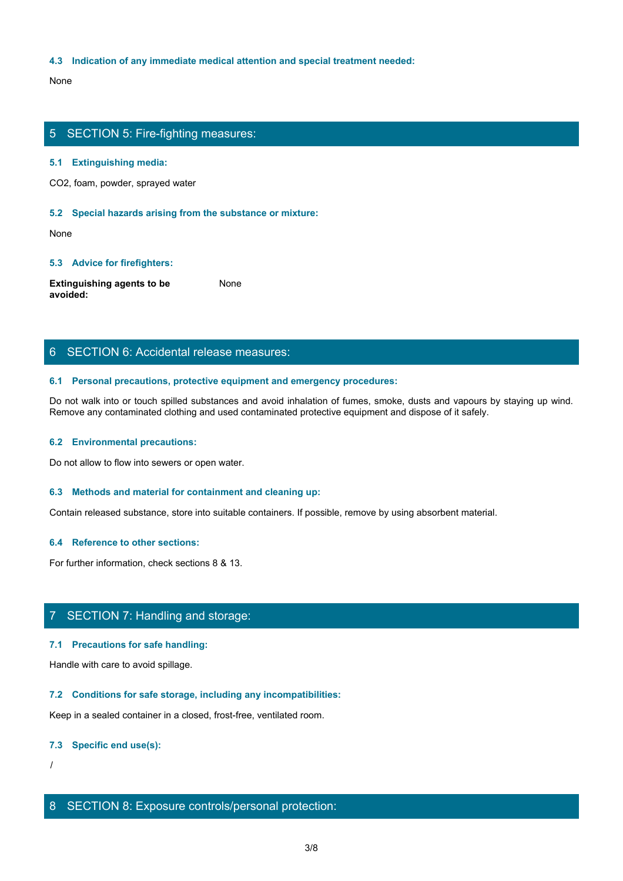#### **4.3 Indication of any immediate medical attention and special treatment needed:**

None with the contract of the contract of the contract of the contract of the contract of the contract of the contract of the contract of the contract of the contract of the contract of the contract of the contract of the

## 5 SECTION 5: Fire-fighting measures:

#### **5.1 Extinguishing media:**

CO2, foam, powder, sprayed water

#### **5.2 Special hazards arising from the substance or mixture:**

None with the contract of the contract of the contract of the contract of the contract of the contract of the contract of the contract of the contract of the contract of the contract of the contract of the contract of the

#### **5.3 Advice for firefighters:**

**Extinguishing agents to be avoided:** None with the contract of the contract of the contract of the contract of the contract of the contract of the contract of the contract of the contract of the contract of the contract of the contract of the contract of the

## 6 SECTION 6: Accidental release measures:

#### **6.1 Personal precautions, protective equipment and emergency procedures:**

Do not walk into or touch spilled substances and avoid inhalation of fumes, smoke, dusts and vapours by staying up wind. Remove any contaminated clothing and used contaminated protective equipment and dispose of it safely.

#### **6.2 Environmental precautions:**

Do not allow to flow into sewers or open water.

#### **6.3 Methods and material for containment and cleaning up:**

Contain released substance, store into suitable containers. If possible, remove by using absorbent material.

#### **6.4 Reference to other sections:**

For further information, check sections 8 & 13.

## 7 SECTION 7: Handling and storage:

#### **7.1 Precautions for safe handling:**

Handle with care to avoid spillage.

#### **7.2 Conditions for safe storage, including any incompatibilities:**

Keep in a sealed container in a closed, frost-free, ventilated room.

#### **7.3 Specific end use(s):**

/

## 8 SECTION 8: Exposure controls/personal protection: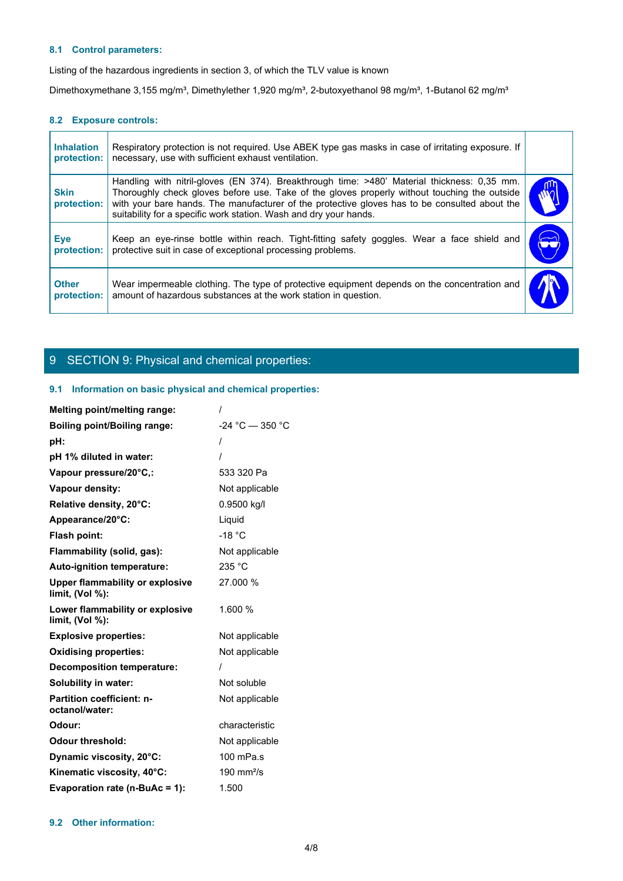### **8.1 Control parameters:**

#### **8.2 Exposure controls:**

| 8.1 Control parameters:          |                                                                                                                                                                                                                                                                                                                                                                   |  |
|----------------------------------|-------------------------------------------------------------------------------------------------------------------------------------------------------------------------------------------------------------------------------------------------------------------------------------------------------------------------------------------------------------------|--|
|                                  | Listing of the hazardous ingredients in section 3, of which the TLV value is known                                                                                                                                                                                                                                                                                |  |
|                                  | Dimethoxymethane 3,155 mg/m <sup>3</sup> , Dimethylether 1,920 mg/m <sup>3</sup> , 2-butoxyethanol 98 mg/m <sup>3</sup> , 1-Butanol 62 mg/m <sup>3</sup>                                                                                                                                                                                                          |  |
| 8.2 Exposure controls:           |                                                                                                                                                                                                                                                                                                                                                                   |  |
| <b>Inhalation</b><br>protection: | Respiratory protection is not required. Use ABEK type gas masks in case of irritating exposure. If<br>necessary, use with sufficient exhaust ventilation.                                                                                                                                                                                                         |  |
| <b>Skin</b><br>protection:       | Handling with nitril-gloves (EN 374). Breakthrough time: >480' Material thickness: 0,35 mm.<br>Thoroughly check gloves before use. Take of the gloves properly without touching the outside<br>with your bare hands. The manufacturer of the protective gloves has to be consulted about the<br>suitability for a specific work station. Wash and dry your hands. |  |
| Eye<br>protection:               | Keep an eye-rinse bottle within reach. Tight-fitting safety goggles. Wear a face shield and<br>protective suit in case of exceptional processing problems.                                                                                                                                                                                                        |  |
| <b>Other</b><br>protection:      | Wear impermeable clothing. The type of protective equipment depends on the concentration and<br>amount of hazardous substances at the work station in question.                                                                                                                                                                                                   |  |
|                                  |                                                                                                                                                                                                                                                                                                                                                                   |  |

## 9 SECTION 9: Physical and chemical properties:

#### **9.1 Information on basic physical and chemical properties:**

| <b>Melting point/melting range:</b>                          |                        |
|--------------------------------------------------------------|------------------------|
| <b>Boiling point/Boiling range:</b>                          | $-24 °C - 350 °C$      |
| pH:                                                          |                        |
| pH 1% diluted in water:                                      |                        |
| Vapour pressure/20°C,:                                       | 533 320 Pa             |
| Vapour density:                                              | Not applicable         |
| Relative density, 20°C:                                      | 0.9500 kg/l            |
| Appearance/20°C:                                             | Liquid                 |
| Flash point:                                                 | $-18 °C$               |
| Flammability (solid, gas):                                   | Not applicable         |
| Auto-ignition temperature:                                   | 235 °C                 |
| <b>Upper flammability or explosive</b><br>limit, $(Vol %)$ : | 27.000 %               |
| Lower flammability or explosive<br>limit, $(Vol %)$ :        | 1.600 %                |
| <b>Explosive properties:</b>                                 | Not applicable         |
| <b>Oxidising properties:</b>                                 | Not applicable         |
| <b>Decomposition temperature:</b>                            |                        |
| Solubility in water:                                         | Not soluble            |
| <b>Partition coefficient: n-</b><br>octanol/water:           | Not applicable         |
| Odour:                                                       | characteristic         |
| <b>Odour threshold:</b>                                      | Not applicable         |
| Dynamic viscosity, 20°C:                                     | 100 mPa.s              |
| Kinematic viscosity, 40°C:                                   | 190 mm <sup>2</sup> /s |
| Evaporation rate (n-BuAc = 1):                               | 1.500                  |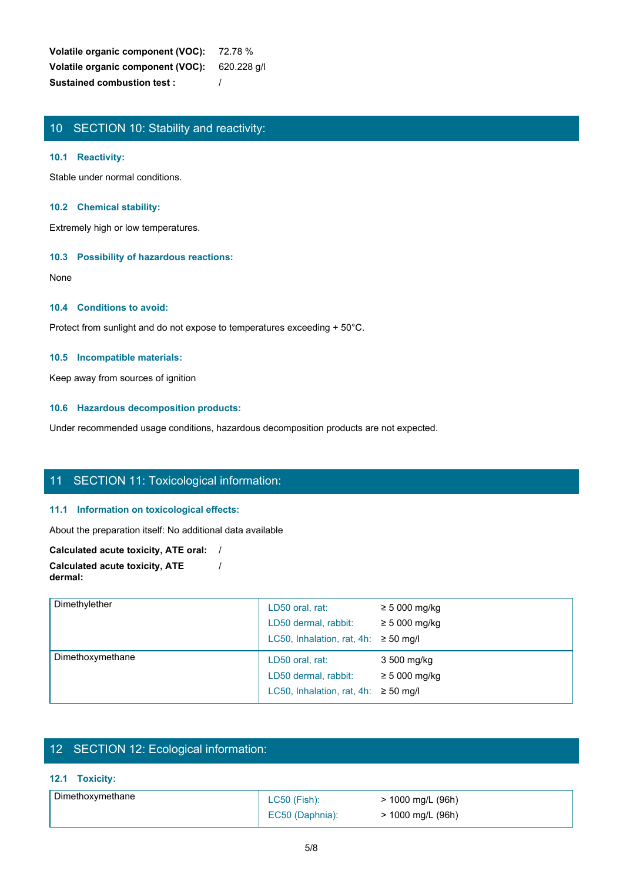**Volatile organic component (VOC):** 72.78 % **Volatile organic component (VOC):** 620.228 g/l **Sustained combustion test :** /

## 10 SECTION 10: Stability and reactivity:

#### **10.1 Reactivity:**

Stable under normal conditions.

#### **10.2 Chemical stability:**

Extremely high or low temperatures.

### **10.3 Possibility of hazardous reactions:**

None with the contract of the contract of the contract of the contract of the contract of the contract of the contract of the contract of the contract of the contract of the contract of the contract of the contract of the

## **10.4 Conditions to avoid:**

Protect from sunlight and do not expose to temperatures exceeding + 50°C.

#### **10.5 Incompatible materials:**

Keep away from sources of ignition

#### **10.6 Hazardous decomposition products:**

Under recommended usage conditions, hazardous decomposition products are not expected.

## 11 SECTION 11: Toxicological information:

#### **11.1 Information on toxicological effects:**

## **Calculated acute toxicity, ATE oral:** / **Calculated acute toxicity, ATE**

| About the preparation itself: No additional data available                      |                                           |                   |  |
|---------------------------------------------------------------------------------|-------------------------------------------|-------------------|--|
|                                                                                 |                                           |                   |  |
| Calculated acute toxicity, ATE oral: /<br><b>Calculated acute toxicity, ATE</b> |                                           |                   |  |
| dermal:                                                                         |                                           |                   |  |
| Dimethylether                                                                   |                                           |                   |  |
|                                                                                 | LD50 oral, rat:                           | $\geq 5000$ mg/kg |  |
|                                                                                 | LD50 dermal, rabbit:                      | $\geq 5000$ mg/kg |  |
|                                                                                 | LC50, Inhalation, rat, 4h: $\geq$ 50 mg/l |                   |  |
| Dimethoxymethane                                                                | LD50 oral, rat:                           | 3 500 mg/kg       |  |
|                                                                                 | LD50 dermal, rabbit:                      | $\geq 5000$ mg/kg |  |
|                                                                                 | LC50, Inhalation, rat, 4h: $\geq$ 50 mg/l |                   |  |
|                                                                                 |                                           |                   |  |
|                                                                                 |                                           |                   |  |
|                                                                                 |                                           |                   |  |
| 12 SECTION 12: Ecological information:                                          |                                           |                   |  |
|                                                                                 |                                           |                   |  |
|                                                                                 |                                           |                   |  |
| Dimethoxymethane                                                                | LC50 (Fish):                              | > 1000 mg/L (96h) |  |
| 12.1 Toxicity:                                                                  | EC50 (Daphnia):                           | > 1000 mg/L (96h) |  |
|                                                                                 | $5/8$                                     |                   |  |

## 12 SECTION 12: Ecological information:

## **12.1 Toxicity:**

| Dimethoxymethane | $LC50$ (Fish):  | > 1000 mg/L (96h) |
|------------------|-----------------|-------------------|
|                  | EC50 (Daphnia): | > 1000 mg/L (96h) |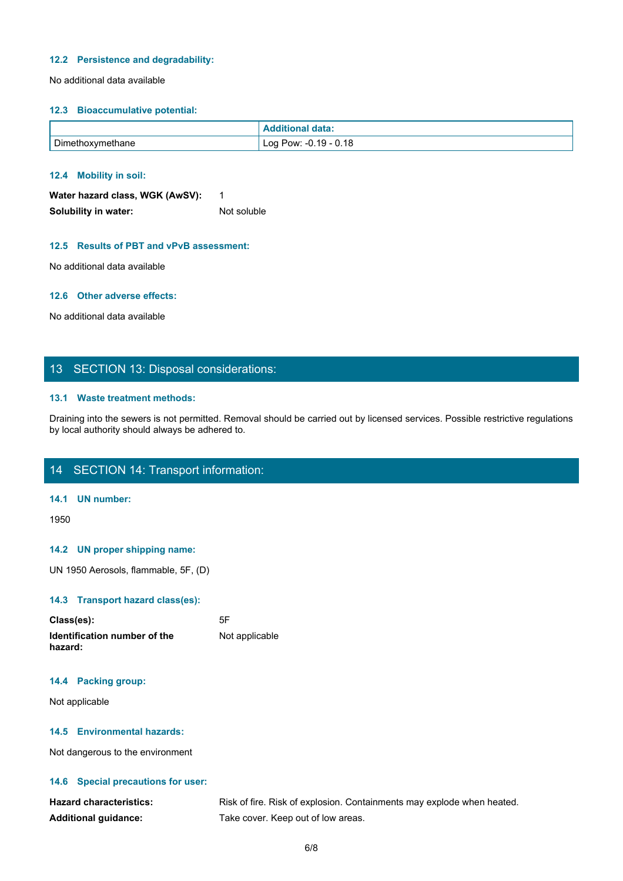#### **12.2 Persistence and degradability:**

No additional data available

#### **12.3 Bioaccumulative potential:**

|                  | <b>Additional data:</b> |
|------------------|-------------------------|
| Dimethoxymethane | ! Log Pow: −0.19 − 0.18 |

#### **12.4 Mobility in soil:**

| Water hazard class, WGK (AwSV): |             |
|---------------------------------|-------------|
| Solubility in water:            | Not soluble |

#### **12.5 Results of PBT and vPvB assessment:**

No additional data available

#### **12.6 Other adverse effects:**

No additional data available

## 13 SECTION 13: Disposal considerations:

#### **13.1 Waste treatment methods:**

Draining into the sewers is not permitted. Removal should be carried out by licensed services. Possible restrictive regulations by local authority should always be adhered to.

## 14 SECTION 14: Transport information:

#### **14.1 UN number:**

1950

#### **14.2 UN proper shipping name:**

UN 1950 Aerosols, flammable, 5F, (D)

#### **14.3 Transport hazard class(es):**

| Class(es):                              | 5F             |
|-----------------------------------------|----------------|
| Identification number of the<br>hazard: | Not applicable |

#### **14.4 Packing group:**

Not applicable

#### **14.5 Environmental hazards:**

Not dangerous to the environment

#### **14.6 Special precautions for user:**

| <b>Hazard characteristics:</b> | Risk of fire. Risk of explosion. Containments may explode when heated. |
|--------------------------------|------------------------------------------------------------------------|
| <b>Additional guidance:</b>    | Take cover. Keep out of low areas.                                     |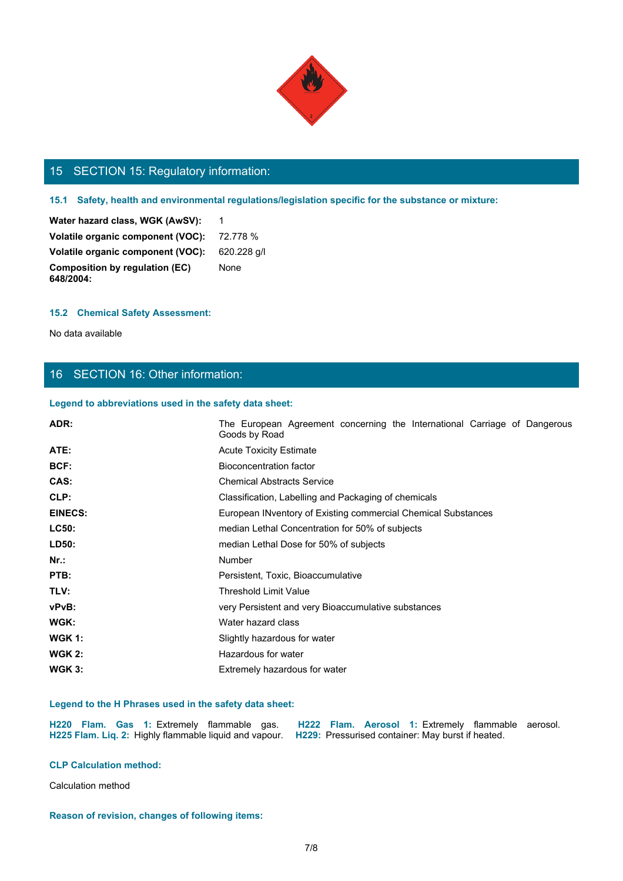

# 15 SECTION 15: Regulatory information:

## **15.1 Safety, health and environmental regulations/legislation specific for the substance or mixture:**

#### **15.2 Chemical Safety Assessment:**

## 16 SECTION 16: Other information:

#### **Legend to abbreviations used in the safety data sheet:**

| 15 SECTION 15: Regulatory information:                               |                                                                                                                                                                |
|----------------------------------------------------------------------|----------------------------------------------------------------------------------------------------------------------------------------------------------------|
|                                                                      | 15.1 Safety, health and environmental regulations/legislation specific for the substance or mixture:                                                           |
|                                                                      |                                                                                                                                                                |
| Water hazard class, WGK (AwSV):<br>Volatile organic component (VOC): | - 1                                                                                                                                                            |
| Volatile organic component (VOC):                                    | 72.778 %                                                                                                                                                       |
| <b>Composition by regulation (EC)</b>                                | 620.228 g/l<br>None                                                                                                                                            |
| 648/2004:                                                            |                                                                                                                                                                |
| <b>15.2 Chemical Safety Assessment:</b>                              |                                                                                                                                                                |
| No data available                                                    |                                                                                                                                                                |
|                                                                      |                                                                                                                                                                |
| 16 SECTION 16: Other information:                                    |                                                                                                                                                                |
|                                                                      |                                                                                                                                                                |
| Legend to abbreviations used in the safety data sheet:               |                                                                                                                                                                |
| ADR:                                                                 | The European Agreement concerning the International Carriage of Dangerous<br>Goods by Road                                                                     |
| ATE:                                                                 | <b>Acute Toxicity Estimate</b>                                                                                                                                 |
| BCF:                                                                 | <b>Bioconcentration factor</b>                                                                                                                                 |
| CAS:                                                                 | <b>Chemical Abstracts Service</b>                                                                                                                              |
| CLP:                                                                 | Classification, Labelling and Packaging of chemicals                                                                                                           |
| <b>EINECS:</b>                                                       | European INventory of Existing commercial Chemical Substances                                                                                                  |
| LC50:                                                                | median Lethal Concentration for 50% of subjects                                                                                                                |
| LD50:                                                                | median Lethal Dose for 50% of subjects                                                                                                                         |
| $Nr.$ :                                                              | Number                                                                                                                                                         |
| PTB:                                                                 | Persistent, Toxic, Bioaccumulative                                                                                                                             |
| TLV:                                                                 | <b>Threshold Limit Value</b>                                                                                                                                   |
| vPvB:                                                                | very Persistent and very Bioaccumulative substances                                                                                                            |
| WGK:                                                                 | Water hazard class                                                                                                                                             |
| <b>WGK 1:</b>                                                        | Slightly hazardous for water                                                                                                                                   |
| <b>WGK 2:</b>                                                        | Hazardous for water                                                                                                                                            |
| <b>WGK 3:</b>                                                        | Extremely hazardous for water                                                                                                                                  |
| Legend to the H Phrases used in the safety data sheet:               |                                                                                                                                                                |
| H220 Flam. Gas 1: Extremely flammable gas.                           | H222 Flam. Aerosol 1: Extremely flammable aerosol.<br>H225 Flam. Liq. 2: Highly flammable liquid and vapour. H229: Pressurised container: May burst if heated. |
| <b>CLP Calculation method:</b>                                       |                                                                                                                                                                |
| Calculation method                                                   |                                                                                                                                                                |
|                                                                      |                                                                                                                                                                |

#### **Legend to the H Phrases used in the safety data sheet:**

|  |  |  |  | H220 Flam. Gas 1: Extremely flammable gas. H222 Flam. Aerosol 1: Extremely flammable aerosol.            |  |  |
|--|--|--|--|----------------------------------------------------------------------------------------------------------|--|--|
|  |  |  |  | H225 Flam. Liq. 2: Highly flammable liquid and vapour. H229: Pressurised container: May burst if heated. |  |  |

**Reason of revision, changes of following items:**